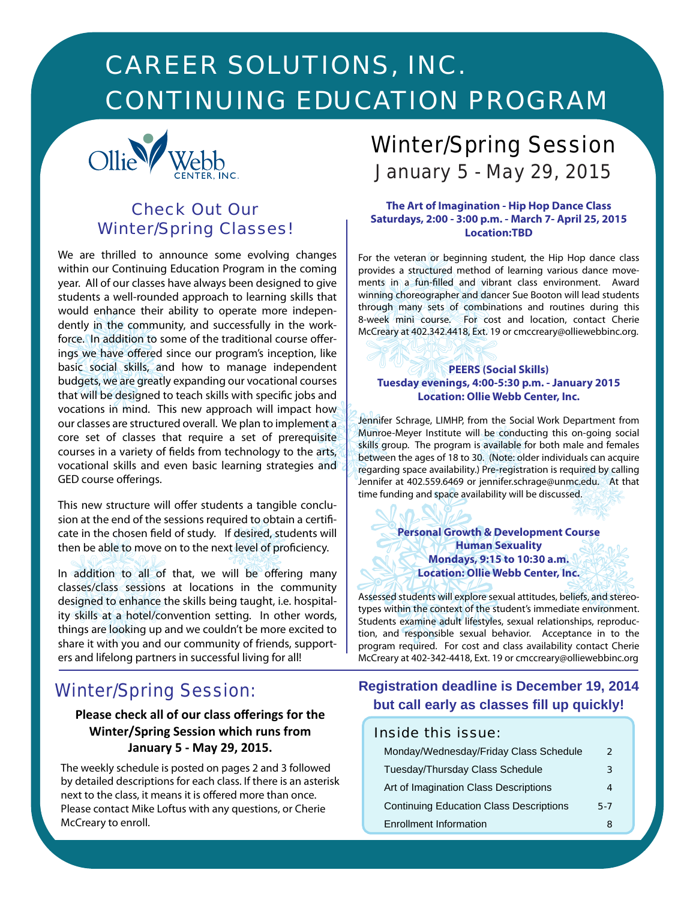# *CAREER SOLUTIONS, INC. CONTINUING EDUCATION PROGRAM*



# *Check Out Our Winter/Spring Classes!*

We are thrilled to announce some evolving changes within our Continuing Education Program in the coming year. All of our classes have always been designed to give students a well-rounded approach to learning skills that would enhance their ability to operate more independently in the community, and successfully in the workforce. In addition to some of the traditional course offerings we have offered since our program's inception, like basic social skills, and how to manage independent budgets, we are greatly expanding our vocational courses that will be designed to teach skills with specific jobs and vocations in mind. This new approach will impact how our classes are structured overall. We plan to implement a core set of classes that require a set of prerequisite courses in a variety of fields from technology to the arts, vocational skills and even basic learning strategies and GED course offerings.

This new structure will offer students a tangible conclusion at the end of the sessions required to obtain a certificate in the chosen field of study. If desired, students will then be able to move on to the next level of proficiency.

In addition to all of that, we will be offering many classes/class sessions at locations in the community designed to enhance the skills being taught, i.e. hospitality skills at a hotel/convention setting. In other words, things are looking up and we couldn't be more excited to share it with you and our community of friends, supporters and lifelong partners in successful living for all!

# *Winter/Spring Session:*

# **Please check all of our class offerings for the Winter/Spring Session which runs from January 5 - May 29, 2015.**

The weekly schedule is posted on pages 2 and 3 followed by detailed descriptions for each class. If there is an asterisk next to the class, it means it is offered more than once. Please contact Mike Loftus with any questions, or Cherie McCreary to enroll.

# *Winter/Spring Session January 5 - May 29, 2015*

### **The Art of Imagination - Hip Hop Dance Class Saturdays, 2:00 - 3:00 p.m. - March 7- April 25, 2015 Location:TBD**

For the veteran or beginning student, the Hip Hop dance class provides a structured method of learning various dance movements in a fun-filled and vibrant class environment. Award winning choreographer and dancer Sue Booton will lead students through many sets of combinations and routines during this 8-week mini course. For cost and location, contact Cherie McCreary at 402.342.4418, Ext. 19 or cmccreary@olliewebbinc.org.

### **PEERS (Social Skills) Tuesday evenings, 4:00-5:30 p.m. - January 2015 Location: Ollie Webb Center, Inc.**

Jennifer Schrage, LIMHP, from the Social Work Department from Munroe-Meyer Institute will be conducting this on-going social skills group. The program is available for both male and females between the ages of 18 to 30. (Note: older individuals can acquire regarding space availability.) Pre-registration is required by calling Jennifer at 402.559.6469 or jennifer.schrage@unmc.edu. At that time funding and space availability will be discussed.

### **Personal Growth & Development Course Human Sexuality Mondays, 9:15 to 10:30 a.m. Location: Ollie Webb Center, Inc.**

Assessed students will explore sexual attitudes, beliefs, and stereotypes within the context of the student's immediate environment. Students examine adult lifestyles, sexual relationships, reproduction, and responsible sexual behavior. Acceptance in to the program required. For cost and class availability contact Cherie McCreary at 402-342-4418, Ext. 19 or cmccreary@olliewebbinc.org

# **Registration deadline is December 19, 2014 but call early as classes fill up quickly!**

### *Inside this issue:*

| Monday/Wednesday/Friday Class Schedule         | 2   |
|------------------------------------------------|-----|
| Tuesday/Thursday Class Schedule                | 3   |
| Art of Imagination Class Descriptions          |     |
| <b>Continuing Education Class Descriptions</b> | 5-7 |
| <b>Enrollment Information</b>                  |     |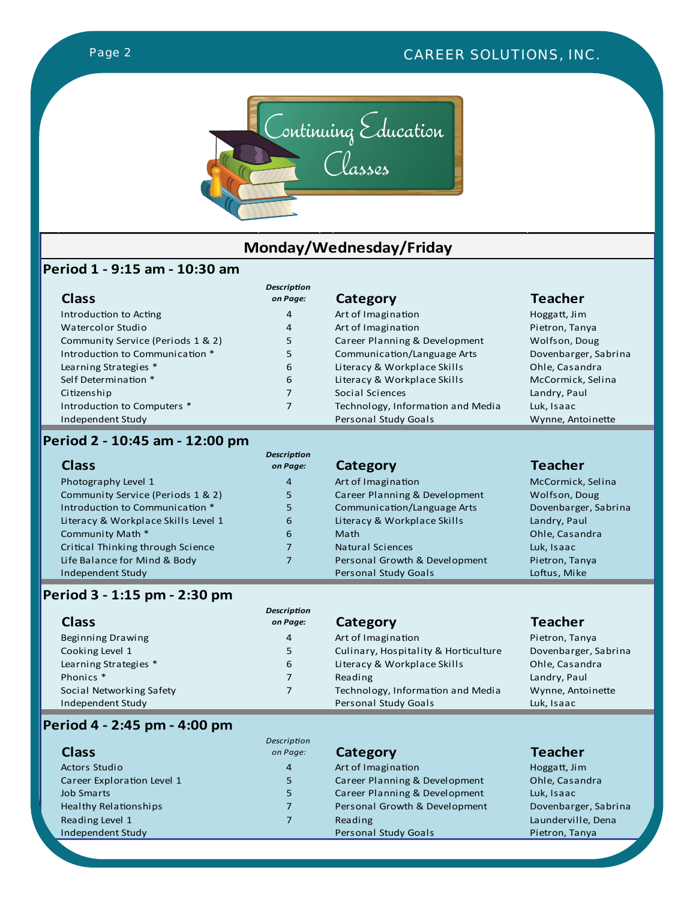

# **Monday/Wednesday/Friday**

# **Period 1 - 9:15 am - 10:30 am**

| <b>Class</b>                      | <b>Description</b><br>on Page: | Category                          | <b>Teacher</b>       |
|-----------------------------------|--------------------------------|-----------------------------------|----------------------|
| Introduction to Acting            | 4                              | Art of Imagination                | Hoggatt, Jim         |
| Watercolor Studio                 | 4                              | Art of Imagination                | Pietron, Tanya       |
| Community Service (Periods 1 & 2) | 5                              | Career Planning & Development     | Wolfson, Doug        |
| Introduction to Communication *   | 5                              | Communication/Language Arts       | Dovenbarger, Sabrina |
| Learning Strategies *             | 6                              | Literacy & Workplace Skills       | Ohle, Casandra       |
| Self Determination *              | 6                              | Literacy & Workplace Skills       | McCormick, Selina    |
| Citizenship                       | 7                              | Social Sciences                   | Landry, Paul         |
| Introduction to Computers *       |                                | Technology, Information and Media | Luk, Isaac           |
| Independent Study                 |                                | <b>Personal Study Goals</b>       | Wynne, Antoinette    |

# **Period 2 - 10:45 am - 12:00 pm**

| <b>Class</b>                        | <b>Description</b><br>on Page: | Category                      | <b>Teacher</b>       |
|-------------------------------------|--------------------------------|-------------------------------|----------------------|
| Photography Level 1                 | 4                              | Art of Imagination            | McCormick, Selina    |
| Community Service (Periods 1 & 2)   | 5.                             | Career Planning & Development | Wolfson, Doug        |
| Introduction to Communication *     | 5                              | Communication/Language Arts   | Dovenbarger, Sabrina |
| Literacy & Workplace Skills Level 1 | 6                              | Literacy & Workplace Skills   | Landry, Paul         |
| Community Math *                    | 6                              | Math                          | Ohle, Casandra       |
| Critical Thinking through Science   | 7                              | Natural Sciences              | Luk, Isaac           |
| Life Balance for Mind & Body        | 7                              | Personal Growth & Development | Pietron, Tanya       |
| Independent Study                   |                                | <b>Personal Study Goals</b>   | Loftus, Mike         |

# **Period 3 - 1:15 pm - 2:30 pm**

| <b>Class</b>             | <b>Description</b><br>on Page: | Category                             | <b>Teacher</b>       |
|--------------------------|--------------------------------|--------------------------------------|----------------------|
| Beginning Drawing        | 4                              | Art of Imagination                   | Pietron, Tanya       |
| Cooking Level 1          | 5                              | Culinary, Hospitality & Horticulture | Dovenbarger, Sabrina |
| Learning Strategies *    | 6                              | Literacy & Workplace Skills          | Ohle, Casandra       |
| Phonics <sup>*</sup>     | 7                              | Reading                              | Landry, Paul         |
| Social Networking Safety |                                | Technology, Information and Media    | Wynne, Antoinette    |
| Independent Study        |                                | Personal Study Goals                 | Luk, Isaac           |

# **Period 4 - 2:45 pm - 4:00 pm**

| <b>Class</b>               | Description<br>on Page: | Category                      | <b>Teacher</b>       |
|----------------------------|-------------------------|-------------------------------|----------------------|
| <b>Actors Studio</b>       | $\overline{4}$          | Art of Imagination            | Hoggatt, Jim         |
| Career Exploration Level 1 | 5                       | Career Planning & Development | Ohle, Casandra       |
| <b>Job Smarts</b>          | 5                       | Career Planning & Development | Luk, Isaac           |
| Healthy Relationships      | $\overline{7}$          | Personal Growth & Development | Dovenbarger, Sabrina |
| Reading Level 1            |                         | Reading                       | Launderville, Dena   |
| Independent Study          |                         | <b>Personal Study Goals</b>   | Pietron, Tanya       |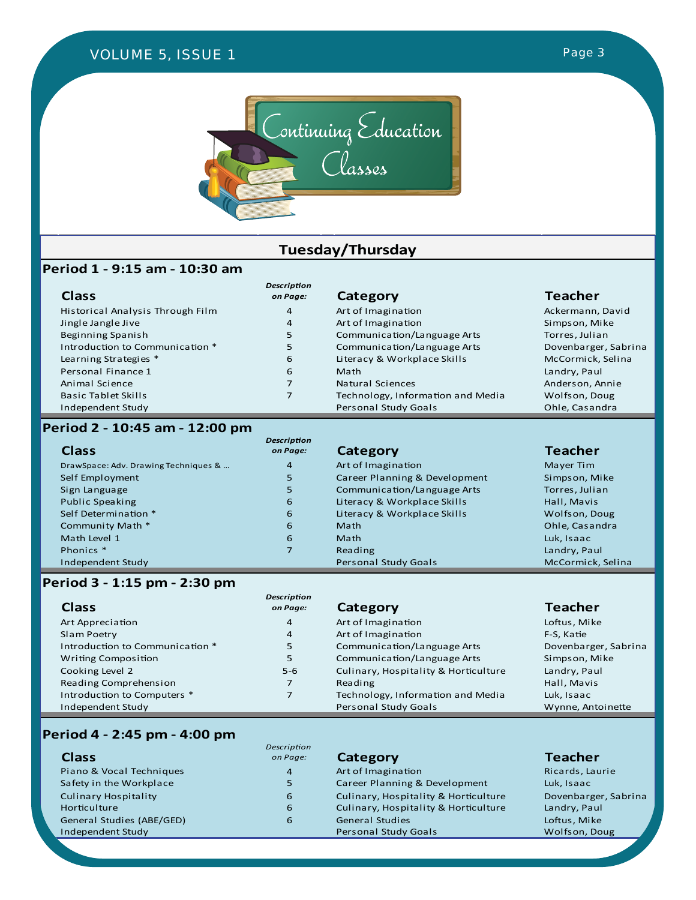# *VOLUME 4, ISSUE 2 VOLUME 5, ISSUE 1 VOLUME 4, ISSUE 1Page 3 Page 3*



# **Tuesday/Thursday**

### **Period 1 - 9:15 am - 10:30 am**

| <b>Class</b>                     | <b>Description</b><br>on Page: | Category                          | <b>Teacher</b>       |
|----------------------------------|--------------------------------|-----------------------------------|----------------------|
| Historical Analysis Through Film | 4                              | Art of Imagination                | Ackermann, David     |
| Jingle Jangle Jive               | 4                              | Art of Imagination                | Simpson, Mike        |
| Beginning Spanish                | 5                              | Communication/Language Arts       | Torres, Julian       |
| Introduction to Communication *  | 5                              | Communication/Language Arts       | Dovenbarger, Sabrina |
| Learning Strategies *            | 6                              | Literacy & Workplace Skills       | McCormick, Selina    |
| Personal Finance 1               | 6                              | Math                              | Landry, Paul         |
| Animal Science                   |                                | Natural Sciences                  | Anderson, Annie      |
| <b>Basic Tablet Skills</b>       |                                | Technology, Information and Media | Wolfson, Doug        |
| Independent Study                |                                | Personal Study Goals              | Ohle, Casandra       |

### **Period 2 - 10:45 am - 12:00 pm**

| <b>Class</b>                         | <b>Description</b><br>on Page: | Category                      | <b>Teacher</b>    |
|--------------------------------------|--------------------------------|-------------------------------|-------------------|
| DrawSpace: Adv. Drawing Techniques & | $\overline{4}$                 | Art of Imagination            | Mayer Tim         |
| Self Employment                      | 5                              | Career Planning & Development | Simpson, Mike     |
| Sign Language                        | 5                              | Communication/Language Arts   | Torres, Julian    |
| Public Speaking                      | 6                              | Literacy & Workplace Skills   | Hall, Mavis       |
| Self Determination *                 | 6                              | Literacy & Workplace Skills   | Wolfson, Doug     |
| Community Math *                     | 6                              | Math                          | Ohle, Casandra    |
| Math Level 1                         | 6                              | Math                          | Luk, Isaac        |
| Phonics *                            | 7                              | Reading                       | Landry, Paul      |
| Independent Study                    |                                | <b>Personal Study Goals</b>   | McCormick, Selina |

### **Period 3 - 1:15 pm - 2:30 pm**

| Art of Imagination<br>Loftus, Mike<br>Art Appreciation<br>$\overline{4}$                    |  |
|---------------------------------------------------------------------------------------------|--|
| Art of Imagination<br>Slam Poetry<br>F-S. Katie<br>$\overline{4}$                           |  |
| Communication/Language Arts<br>Introduction to Communication *<br>Dovenbarger, Sabrina<br>5 |  |
| Communication/Language Arts<br>5<br>Simpson, Mike<br><b>Writing Composition</b>             |  |
| Cooking Level 2<br>Culinary, Hospitality & Horticulture<br>Landry, Paul<br>$5 - 6$          |  |
| Reading Comprehension<br>Hall, Mavis<br>Reading<br>7                                        |  |
| Introduction to Computers *<br>Technology, Information and Media<br>Luk, Isaac              |  |
| Independent Study<br>Personal Study Goals<br>Wynne, Antoinette                              |  |

### **Period 4 - 2:45 pm - 4:00 pm**

| <b>Class</b>                | Description<br>on Page: |
|-----------------------------|-------------------------|
|                             |                         |
| Piano & Vocal Techniques    | 4                       |
| Safety in the Workplace     | 5                       |
| <b>Culinary Hospitality</b> | 6                       |
| Horticulture                | 6                       |
| General Studies (ABE/GED)   | 6                       |
| Independent Study           |                         |

**Category Category Category Category Category Category Category Category Category Category Category Category Category Category Category Category Category Category Category Category C** Art of Imagination<br>
Career Planning & Development Luk, Isaac Career Planning & Development Culinary, Hospitality & Horticulture Dovenbarger, Sabrina<br>Culinary, Hospitality & Horticulture Landry, Paul Culinary, Hospitality & Horticulture General Studies (ABE) 6 Loftus, Mike<br>
1991 - Personal Study Goals<br>
2006 - Wolfson, Doug Personal Study Goals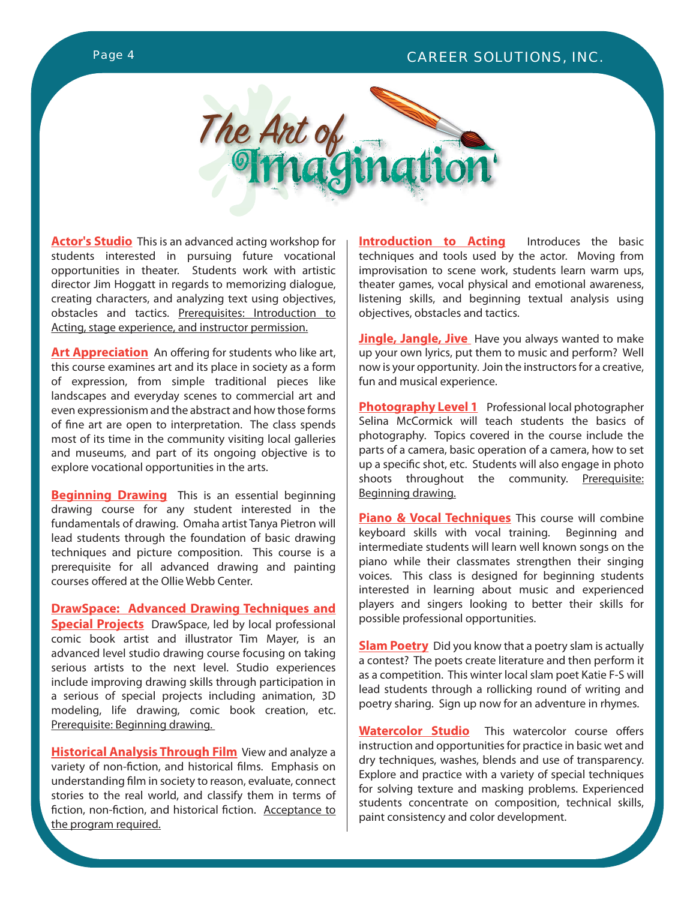# *Page 4 CAREER SOLUTIONS, INC.*





**Actor's Studio** This is an advanced acting workshop for students interested in pursuing future vocational opportunities in theater. Students work with artistic director Jim Hoggatt in regards to memorizing dialogue, creating characters, and analyzing text using objectives, obstacles and tactics. Prerequisites: Introduction to Acting, stage experience, and instructor permission.

**Art Appreciation** An offering for students who like art, this course examines art and its place in society as a form of expression, from simple traditional pieces like landscapes and everyday scenes to commercial art and even expressionism and the abstract and how those forms of fine art are open to interpretation. The class spends most of its time in the community visiting local galleries and museums, and part of its ongoing objective is to explore vocational opportunities in the arts.

**Beginning Drawing** This is an essential beginning drawing course for any student interested in the fundamentals of drawing. Omaha artist Tanya Pietron will lead students through the foundation of basic drawing techniques and picture composition. This course is a prerequisite for all advanced drawing and painting courses offered at the Ollie Webb Center.

**DrawSpace: Advanced Drawing Techniques and Special Projects** DrawSpace, led by local professional comic book artist and illustrator Tim Mayer, is an advanced level studio drawing course focusing on taking serious artists to the next level. Studio experiences include improving drawing skills through participation in a serious of special projects including animation, 3D modeling, life drawing, comic book creation, etc. Prerequisite: Beginning drawing.

**Historical Analysis Through Film** View and analyze a variety of non-fiction, and historical films. Emphasis on understanding film in society to reason, evaluate, connect stories to the real world, and classify them in terms of fiction, non-fiction, and historical fiction. Acceptance to the program required.

**Introduction to Acting** Introduces the basic techniques and tools used by the actor. Moving from improvisation to scene work, students learn warm ups, theater games, vocal physical and emotional awareness, listening skills, and beginning textual analysis using objectives, obstacles and tactics.

**Jingle, Jangle, Jive** Have you always wanted to make up your own lyrics, put them to music and perform? Well now is your opportunity. Join the instructors for a creative, fun and musical experience.

**Photography Level 1** Professional local photographer Selina McCormick will teach students the basics of photography. Topics covered in the course include the parts of a camera, basic operation of a camera, how to set up a specific shot, etc. Students will also engage in photo shoots throughout the community. Prerequisite: Beginning drawing.

**Piano & Vocal Techniques** This course will combine keyboard skills with vocal training. Beginning and intermediate students will learn well known songs on the piano while their classmates strengthen their singing voices. This class is designed for beginning students interested in learning about music and experienced players and singers looking to better their skills for possible professional opportunities.

**Slam Poetry** Did you know that a poetry slam is actually a contest? The poets create literature and then perform it as a competition. This winter local slam poet Katie F-S will lead students through a rollicking round of writing and poetry sharing. Sign up now for an adventure in rhymes.

**Watercolor Studio** This watercolor course offers instruction and opportunities for practice in basic wet and dry techniques, washes, blends and use of transparency. Explore and practice with a variety of special techniques for solving texture and masking problems. Experienced students concentrate on composition, technical skills, paint consistency and color development.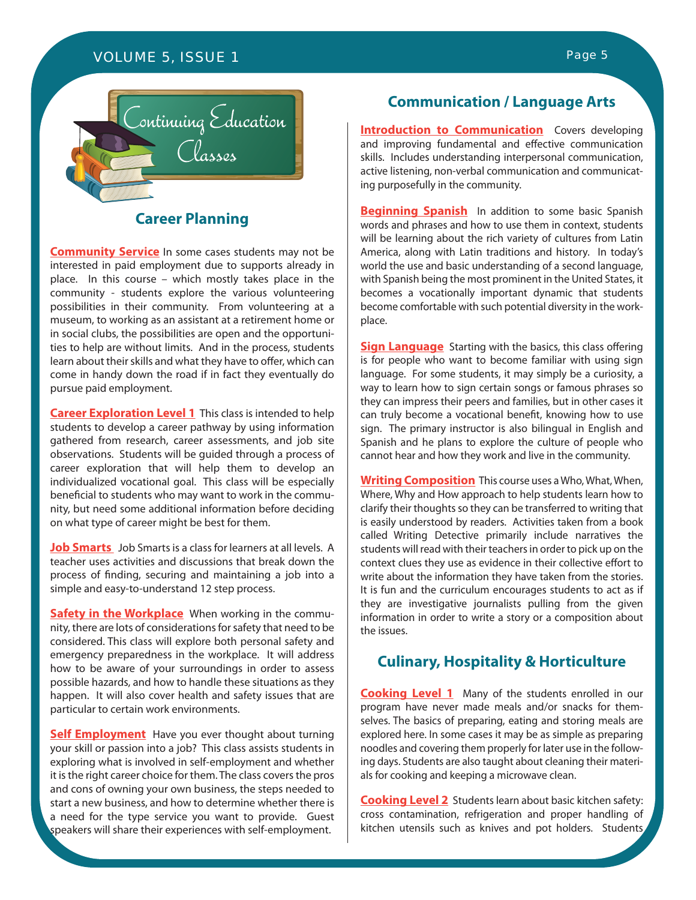# *VOLUME 5, ISSUE 1 Page 5*



# **Career Planning**

**Community Service** In some cases students may not be interested in paid employment due to supports already in place. In this course – which mostly takes place in the community - students explore the various volunteering possibilities in their community. From volunteering at a museum, to working as an assistant at a retirement home or in social clubs, the possibilities are open and the opportunities to help are without limits. And in the process, students learn about their skills and what they have to offer, which can come in handy down the road if in fact they eventually do pursue paid employment.

**Career Exploration Level 1** This class is intended to help students to develop a career pathway by using information gathered from research, career assessments, and job site observations. Students will be guided through a process of career exploration that will help them to develop an individualized vocational goal. This class will be especially beneficial to students who may want to work in the community, but need some additional information before deciding on what type of career might be best for them.

**Job Smarts** Job Smarts is a class for learners at all levels. A teacher uses activities and discussions that break down the process of finding, securing and maintaining a job into a simple and easy-to-understand 12 step process.

**Safety in the Workplace** When working in the community, there are lots of considerations for safety that need to be considered. This class will explore both personal safety and emergency preparedness in the workplace. It will address how to be aware of your surroundings in order to assess possible hazards, and how to handle these situations as they happen. It will also cover health and safety issues that are particular to certain work environments.

**Self Employment** Have you ever thought about turning your skill or passion into a job? This class assists students in exploring what is involved in self-employment and whether it is the right career choice for them. The class covers the pros and cons of owning your own business, the steps needed to start a new business, and how to determine whether there is a need for the type service you want to provide. Guest speakers will share their experiences with self-employment.

# **Communication / Language Arts**

**Introduction to Communication** Covers developing and improving fundamental and effective communication skills. Includes understanding interpersonal communication, active listening, non-verbal communication and communicating purposefully in the community.

**Beginning Spanish** In addition to some basic Spanish words and phrases and how to use them in context, students will be learning about the rich variety of cultures from Latin America, along with Latin traditions and history. In today's world the use and basic understanding of a second language, with Spanish being the most prominent in the United States, it becomes a vocationally important dynamic that students become comfortable with such potential diversity in the workplace.

**Sign Language** Starting with the basics, this class offering is for people who want to become familiar with using sign language. For some students, it may simply be a curiosity, a way to learn how to sign certain songs or famous phrases so they can impress their peers and families, but in other cases it can truly become a vocational benefit, knowing how to use sign. The primary instructor is also bilingual in English and Spanish and he plans to explore the culture of people who cannot hear and how they work and live in the community.

**Writing Composition** This course uses a Who, What, When, Where, Why and How approach to help students learn how to clarify their thoughts so they can be transferred to writing that is easily understood by readers. Activities taken from a book called Writing Detective primarily include narratives the students will read with their teachers in order to pick up on the context clues they use as evidence in their collective effort to write about the information they have taken from the stories. It is fun and the curriculum encourages students to act as if they are investigative journalists pulling from the given information in order to write a story or a composition about the issues.

### **Culinary, Hospitality & Horticulture**

**Cooking Level 1** Many of the students enrolled in our program have never made meals and/or snacks for themselves. The basics of preparing, eating and storing meals are explored here. In some cases it may be as simple as preparing noodles and covering them properly for later use in the following days. Students are also taught about cleaning their materials for cooking and keeping a microwave clean.

**Cooking Level 2** Students learn about basic kitchen safety: cross contamination, refrigeration and proper handling of kitchen utensils such as knives and pot holders. Students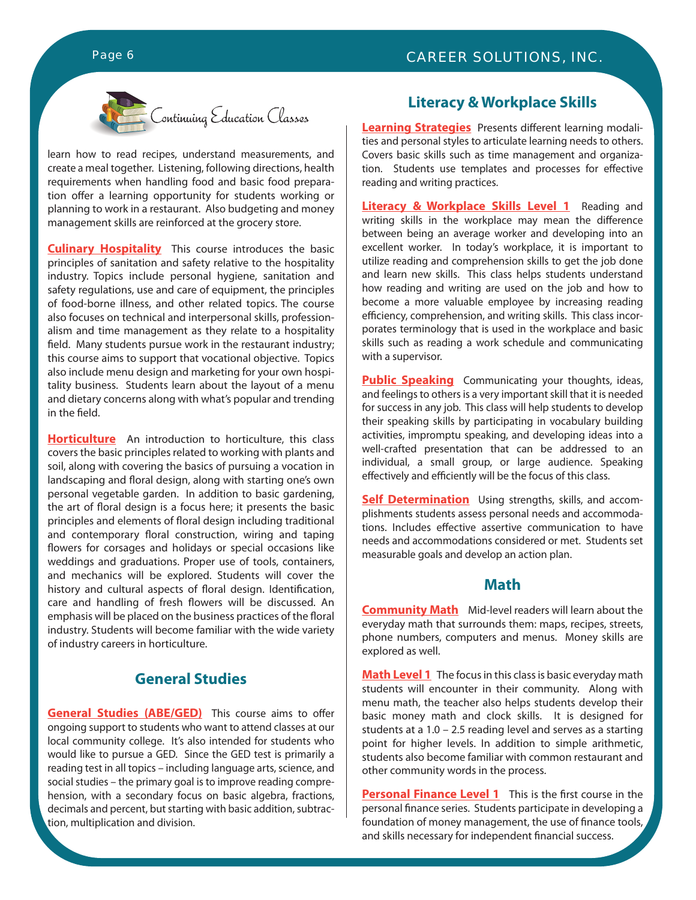

learn how to read recipes, understand measurements, and create a meal together. Listening, following directions, health requirements when handling food and basic food preparation offer a learning opportunity for students working or planning to work in a restaurant. Also budgeting and money management skills are reinforced at the grocery store.

**Culinary Hospitality** This course introduces the basic principles of sanitation and safety relative to the hospitality industry. Topics include personal hygiene, sanitation and safety regulations, use and care of equipment, the principles of food-borne illness, and other related topics. The course also focuses on technical and interpersonal skills, professionalism and time management as they relate to a hospitality field. Many students pursue work in the restaurant industry; this course aims to support that vocational objective. Topics also include menu design and marketing for your own hospitality business. Students learn about the layout of a menu and dietary concerns along with what's popular and trending in the field.

**Horticulture** An introduction to horticulture, this class covers the basic principles related to working with plants and soil, along with covering the basics of pursuing a vocation in landscaping and floral design, along with starting one's own personal vegetable garden. In addition to basic gardening, the art of floral design is a focus here; it presents the basic principles and elements of floral design including traditional and contemporary floral construction, wiring and taping flowers for corsages and holidays or special occasions like weddings and graduations. Proper use of tools, containers, and mechanics will be explored. Students will cover the history and cultural aspects of floral design. Identification, care and handling of fresh flowers will be discussed. An emphasis will be placed on the business practices of the floral industry. Students will become familiar with the wide variety of industry careers in horticulture.

# **General Studies**

**General Studies (ABE/GED)** This course aims to offer ongoing support to students who want to attend classes at our local community college. It's also intended for students who would like to pursue a GED. Since the GED test is primarily a reading test in all topics – including language arts, science, and social studies – the primary goal is to improve reading comprehension, with a secondary focus on basic algebra, fractions, decimals and percent, but starting with basic addition, subtraction, multiplication and division.

## **Literacy & Workplace Skills**

**Learning Strategies** Presents different learning modalities and personal styles to articulate learning needs to others. Covers basic skills such as time management and organization. Students use templates and processes for effective reading and writing practices.

**Literacy & Workplace Skills Level 1** Reading and writing skills in the workplace may mean the difference between being an average worker and developing into an excellent worker. In today's workplace, it is important to utilize reading and comprehension skills to get the job done and learn new skills. This class helps students understand how reading and writing are used on the job and how to become a more valuable employee by increasing reading efficiency, comprehension, and writing skills. This class incorporates terminology that is used in the workplace and basic skills such as reading a work schedule and communicating with a supervisor.

**Public Speaking** Communicating your thoughts, ideas, and feelings to others is a very important skill that it is needed for success in any job. This class will help students to develop their speaking skills by participating in vocabulary building activities, impromptu speaking, and developing ideas into a well-crafted presentation that can be addressed to an individual, a small group, or large audience. Speaking effectively and efficiently will be the focus of this class.

**Self Determination** Using strengths, skills, and accomplishments students assess personal needs and accommodations. Includes effective assertive communication to have needs and accommodations considered or met. Students set measurable goals and develop an action plan.

### **Math**

**Community Math** Mid-level readers will learn about the everyday math that surrounds them: maps, recipes, streets, phone numbers, computers and menus. Money skills are explored as well.

**Math Level 1** The focus in this class is basic everyday math students will encounter in their community. Along with menu math, the teacher also helps students develop their basic money math and clock skills. It is designed for students at a 1.0 – 2.5 reading level and serves as a starting point for higher levels. In addition to simple arithmetic, students also become familiar with common restaurant and other community words in the process.

**Personal Finance Level 1** This is the first course in the personal finance series. Students participate in developing a foundation of money management, the use of finance tools, and skills necessary for independent financial success.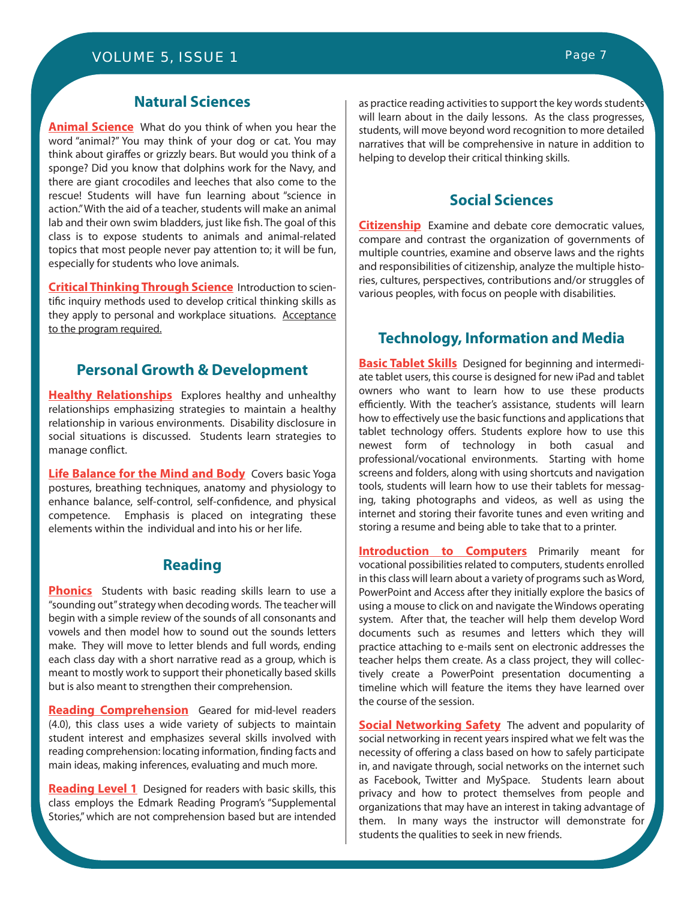# **Natural Sciences**

**Animal Science** What do you think of when you hear the word "animal?" You may think of your dog or cat. You may think about giraffes or grizzly bears. But would you think of a sponge? Did you know that dolphins work for the Navy, and there are giant crocodiles and leeches that also come to the rescue! Students will have fun learning about "science in action." With the aid of a teacher, students will make an animal lab and their own swim bladders, just like fish. The goal of this class is to expose students to animals and animal-related topics that most people never pay attention to; it will be fun, especially for students who love animals.

**Critical Thinking Through Science** Introduction to scientific inquiry methods used to develop critical thinking skills as they apply to personal and workplace situations. Acceptance to the program required.

# **Personal Growth & Development**

**Healthy Relationships** Explores healthy and unhealthy relationships emphasizing strategies to maintain a healthy relationship in various environments. Disability disclosure in social situations is discussed. Students learn strategies to manage conflict.

**Life Balance for the Mind and Body** Covers basic Yoga postures, breathing techniques, anatomy and physiology to enhance balance, self-control, self-confidence, and physical competence. Emphasis is placed on integrating these elements within the individual and into his or her life.

### **Reading**

**Phonics** Students with basic reading skills learn to use a "sounding out" strategy when decoding words. The teacher will begin with a simple review of the sounds of all consonants and vowels and then model how to sound out the sounds letters make. They will move to letter blends and full words, ending each class day with a short narrative read as a group, which is meant to mostly work to support their phonetically based skills but is also meant to strengthen their comprehension.

**Reading Comprehension** Geared for mid-level readers (4.0), this class uses a wide variety of subjects to maintain student interest and emphasizes several skills involved with reading comprehension: locating information, finding facts and main ideas, making inferences, evaluating and much more.

**Reading Level 1** Designed for readers with basic skills, this class employs the Edmark Reading Program's "Supplemental Stories," which are not comprehension based but are intended as practice reading activities to support the key words students will learn about in the daily lessons. As the class progresses, students, will move beyond word recognition to more detailed narratives that will be comprehensive in nature in addition to helping to develop their critical thinking skills.

# **Social Sciences**

**Citizenship** Examine and debate core democratic values, compare and contrast the organization of governments of multiple countries, examine and observe laws and the rights and responsibilities of citizenship, analyze the multiple histories, cultures, perspectives, contributions and/or struggles of various peoples, with focus on people with disabilities.

# **Technology, Information and Media**

**Basic Tablet Skills** Designed for beginning and intermediate tablet users, this course is designed for new iPad and tablet owners who want to learn how to use these products efficiently. With the teacher's assistance, students will learn how to effectively use the basic functions and applications that tablet technology offers. Students explore how to use this newest form of technology in both casual and professional/vocational environments. Starting with home screens and folders, along with using shortcuts and navigation tools, students will learn how to use their tablets for messaging, taking photographs and videos, as well as using the internet and storing their favorite tunes and even writing and storing a resume and being able to take that to a printer.

**Introduction to Computers** Primarily meant for vocational possibilities related to computers, students enrolled in this class will learn about a variety of programs such as Word, PowerPoint and Access after they initially explore the basics of using a mouse to click on and navigate the Windows operating system. After that, the teacher will help them develop Word documents such as resumes and letters which they will practice attaching to e-mails sent on electronic addresses the teacher helps them create. As a class project, they will collectively create a PowerPoint presentation documenting a timeline which will feature the items they have learned over the course of the session.

**Social Networking Safety** The advent and popularity of social networking in recent years inspired what we felt was the necessity of offering a class based on how to safely participate in, and navigate through, social networks on the internet such as Facebook, Twitter and MySpace. Students learn about privacy and how to protect themselves from people and organizations that may have an interest in taking advantage of them. In many ways the instructor will demonstrate for students the qualities to seek in new friends.